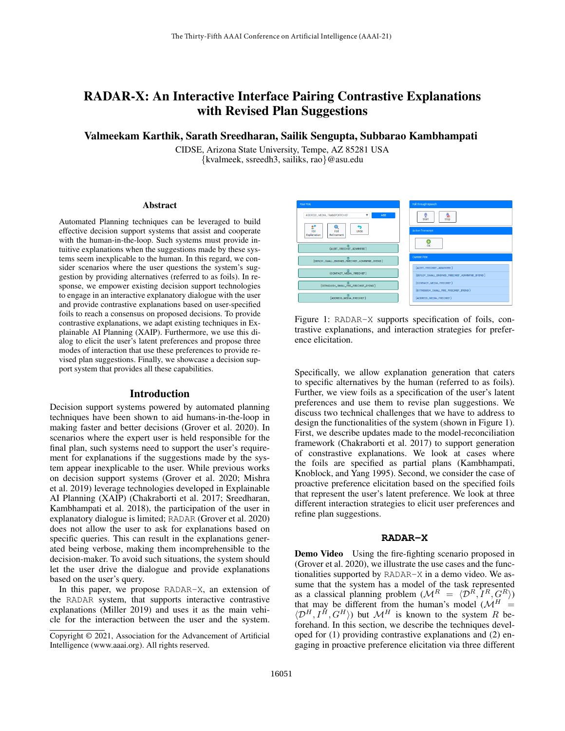# RADAR-X: An Interactive Interface Pairing Contrastive Explanations with Revised Plan Suggestions

Valmeekam Karthik, Sarath Sreedharan, Sailik Sengupta, Subbarao Kambhampati

CIDSE, Arizona State University, Tempe, AZ 85281 USA {kvalmeek, ssreedh3, sailiks, rao}@asu.edu

#### Abstract

Automated Planning techniques can be leveraged to build effective decision support systems that assist and cooperate with the human-in-the-loop. Such systems must provide intuitive explanations when the suggestions made by these systems seem inexplicable to the human. In this regard, we consider scenarios where the user questions the system's suggestion by providing alternatives (referred to as foils). In response, we empower existing decision support technologies to engage in an interactive explanatory dialogue with the user and provide contrastive explanations based on user-specified foils to reach a consensus on proposed decisions. To provide contrastive explanations, we adapt existing techniques in Explainable AI Planning (XAIP). Furthermore, we use this dialog to elicit the user's latent preferences and propose three modes of interaction that use these preferences to provide revised plan suggestions. Finally, we showcase a decision support system that provides all these capabilities.

#### Introduction

Decision support systems powered by automated planning techniques have been shown to aid humans-in-the-loop in making faster and better decisions (Grover et al. 2020). In scenarios where the expert user is held responsible for the final plan, such systems need to support the user's requirement for explanations if the suggestions made by the system appear inexplicable to the user. While previous works on decision support systems (Grover et al. 2020; Mishra et al. 2019) leverage technologies developed in Explainable AI Planning (XAIP) (Chakraborti et al. 2017; Sreedharan, Kambhampati et al. 2018), the participation of the user in explanatory dialogue is limited; RADAR (Grover et al. 2020) does not allow the user to ask for explanations based on specific queries. This can result in the explanations generated being verbose, making them incomprehensible to the decision-maker. To avoid such situations, the system should let the user drive the dialogue and provide explanations based on the user's query.

In this paper, we propose RADAR-X, an extension of the RADAR system, that supports interactive contrastive explanations (Miller 2019) and uses it as the main vehicle for the interaction between the user and the system.



Figure 1: RADAR-X supports specification of foils, contrastive explanations, and interaction strategies for preference elicitation.

Specifically, we allow explanation generation that caters to specific alternatives by the human (referred to as foils). Further, we view foils as a specification of the user's latent preferences and use them to revise plan suggestions. We discuss two technical challenges that we have to address to design the functionalities of the system (shown in Figure 1). First, we describe updates made to the model-reconciliation framework (Chakraborti et al. 2017) to support generation of constrastive explanations. We look at cases where the foils are specified as partial plans (Kambhampati, Knoblock, and Yang 1995). Second, we consider the case of proactive preference elicitation based on the specified foils that represent the user's latent preference. We look at three different interaction strategies to elicit user preferences and refine plan suggestions.

#### **RADAR-X**

Demo Video Using the fire-fighting scenario proposed in (Grover et al. 2020), we illustrate the use cases and the functionalities supported by RADAR-X in a demo video. We assume that the system has a model of the task represented as a classical planning problem  $(M^R = \langle \mathcal{D}^R, I^R, G^R \rangle)$ that may be different from the human's model ( $\mathcal{M}^H$  =  $\langle \mathcal{D}^H, I^H, G^H \rangle$ ) but  $\mathcal{M}^H$  is known to the system R beforehand. In this section, we describe the techniques developed for (1) providing contrastive explanations and (2) engaging in proactive preference elicitation via three different

Copyright © 2021, Association for the Advancement of Artificial Intelligence (www.aaai.org). All rights reserved.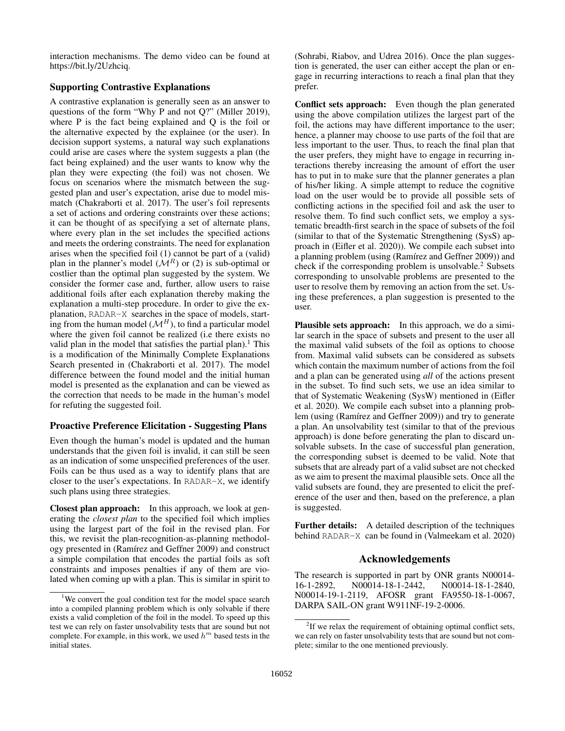interaction mechanisms. The demo video can be found at https://bit.ly/2Uzhciq.

## Supporting Contrastive Explanations

A contrastive explanation is generally seen as an answer to questions of the form "Why P and not Q?" (Miller 2019), where P is the fact being explained and Q is the foil or the alternative expected by the explainee (or the user). In decision support systems, a natural way such explanations could arise are cases where the system suggests a plan (the fact being explained) and the user wants to know why the plan they were expecting (the foil) was not chosen. We focus on scenarios where the mismatch between the suggested plan and user's expectation, arise due to model mismatch (Chakraborti et al. 2017). The user's foil represents a set of actions and ordering constraints over these actions; it can be thought of as specifying a set of alternate plans, where every plan in the set includes the specified actions and meets the ordering constraints. The need for explanation arises when the specified foil (1) cannot be part of a (valid) plan in the planner's model  $(M<sup>R</sup>)$  or (2) is sub-optimal or costlier than the optimal plan suggested by the system. We consider the former case and, further, allow users to raise additional foils after each explanation thereby making the explanation a multi-step procedure. In order to give the explanation, RADAR-X searches in the space of models, starting from the human model  $(M^H)$ , to find a particular model where the given foil cannot be realized (i.e there exists no valid plan in the model that satisfies the partial plan).<sup>1</sup> This is a modification of the Minimally Complete Explanations Search presented in (Chakraborti et al. 2017). The model difference between the found model and the initial human model is presented as the explanation and can be viewed as the correction that needs to be made in the human's model for refuting the suggested foil.

### Proactive Preference Elicitation - Suggesting Plans

Even though the human's model is updated and the human understands that the given foil is invalid, it can still be seen as an indication of some unspecified preferences of the user. Foils can be thus used as a way to identify plans that are closer to the user's expectations. In RADAR-X, we identify such plans using three strategies.

Closest plan approach: In this approach, we look at generating the *closest plan* to the specified foil which implies using the largest part of the foil in the revised plan. For this, we revisit the plan-recognition-as-planning methodology presented in (Ramírez and Geffner 2009) and construct a simple compilation that encodes the partial foils as soft constraints and imposes penalties if any of them are violated when coming up with a plan. This is similar in spirit to (Sohrabi, Riabov, and Udrea 2016). Once the plan suggestion is generated, the user can either accept the plan or engage in recurring interactions to reach a final plan that they prefer.

Conflict sets approach: Even though the plan generated using the above compilation utilizes the largest part of the foil, the actions may have different importance to the user; hence, a planner may choose to use parts of the foil that are less important to the user. Thus, to reach the final plan that the user prefers, they might have to engage in recurring interactions thereby increasing the amount of effort the user has to put in to make sure that the planner generates a plan of his/her liking. A simple attempt to reduce the cognitive load on the user would be to provide all possible sets of conflicting actions in the specified foil and ask the user to resolve them. To find such conflict sets, we employ a systematic breadth-first search in the space of subsets of the foil (similar to that of the Systematic Strengthening (SysS) approach in (Eifler et al. 2020)). We compile each subset into a planning problem (using (Ramírez and Geffner 2009)) and check if the corresponding problem is unsolvable. $2$  Subsets corresponding to unsolvable problems are presented to the user to resolve them by removing an action from the set. Using these preferences, a plan suggestion is presented to the user.

Plausible sets approach: In this approach, we do a similar search in the space of subsets and present to the user all the maximal valid subsets of the foil as options to choose from. Maximal valid subsets can be considered as subsets which contain the maximum number of actions from the foil and a plan can be generated using *all* of the actions present in the subset. To find such sets, we use an idea similar to that of Systematic Weakening (SysW) mentioned in (Eifler et al. 2020). We compile each subset into a planning problem (using (Ramírez and Geffner 2009)) and try to generate a plan. An unsolvability test (similar to that of the previous approach) is done before generating the plan to discard unsolvable subsets. In the case of successful plan generation, the corresponding subset is deemed to be valid. Note that subsets that are already part of a valid subset are not checked as we aim to present the maximal plausible sets. Once all the valid subsets are found, they are presented to elicit the preference of the user and then, based on the preference, a plan is suggested.

Further details: A detailed description of the techniques behind RADAR-X can be found in (Valmeekam et al. 2020)

#### Acknowledgements

The research is supported in part by ONR grants N00014- 16-1-2892, N00014-18-1-2442, N00014-18-1-2840, N00014-19-1-2119, AFOSR grant FA9550-18-1-0067, DARPA SAIL-ON grant W911NF-19-2-0006.

<sup>&</sup>lt;sup>1</sup>We convert the goal condition test for the model space search into a compiled planning problem which is only solvable if there exists a valid completion of the foil in the model. To speed up this test we can rely on faster unsolvability tests that are sound but not complete. For example, in this work, we used  $h^m$  based tests in the initial states.

 $2$ If we relax the requirement of obtaining optimal conflict sets, we can rely on faster unsolvability tests that are sound but not complete; similar to the one mentioned previously.